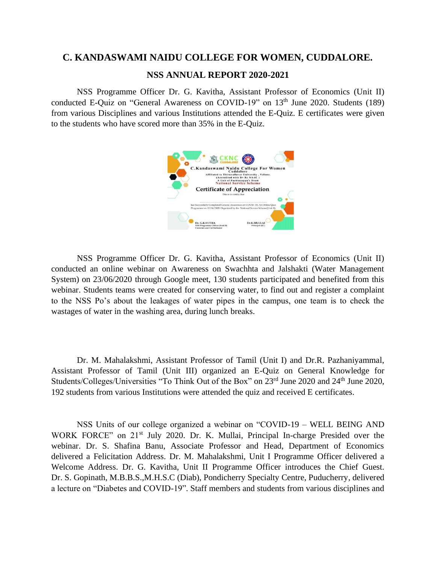## **C. KANDASWAMI NAIDU COLLEGE FOR WOMEN, CUDDALORE.**

## **NSS ANNUAL REPORT 2020-2021**

NSS Programme Officer Dr. G. Kavitha, Assistant Professor of Economics (Unit II) conducted E-Quiz on "General Awareness on COVID-19" on 13<sup>th</sup> June 2020. Students (189) from various Disciplines and various Institutions attended the E-Quiz. E certificates were given to the students who have scored more than 35% in the E-Quiz.



NSS Programme Officer Dr. G. Kavitha, Assistant Professor of Economics (Unit II) conducted an online webinar on Awareness on Swachhta and Jalshakti (Water Management System) on 23/06/2020 through Google meet, 130 students participated and benefited from this webinar. Students teams were created for conserving water, to find out and register a complaint to the NSS Po's about the leakages of water pipes in the campus, one team is to check the wastages of water in the washing area, during lunch breaks.

Dr. M. Mahalakshmi, Assistant Professor of Tamil (Unit I) and Dr.R. Pazhaniyammal, Assistant Professor of Tamil (Unit III) organized an E-Quiz on General Knowledge for Students/Colleges/Universities "To Think Out of the Box" on 23<sup>rd</sup> June 2020 and 24<sup>th</sup> June 2020, 192 students from various Institutions were attended the quiz and received E certificates.

NSS Units of our college organized a webinar on "COVID-19 – WELL BEING AND WORK FORCE" on 21<sup>st</sup> July 2020. Dr. K. Mullai, Principal In-charge Presided over the webinar. Dr. S. Shafina Banu, Associate Professor and Head, Department of Economics delivered a Felicitation Address. Dr. M. Mahalakshmi, Unit I Programme Officer delivered a Welcome Address. Dr. G. Kavitha, Unit II Programme Officer introduces the Chief Guest. Dr. S. Gopinath, M.B.B.S.,M.H.S.C (Diab), Pondicherry Specialty Centre, Puducherry, delivered a lecture on "Diabetes and COVID-19". Staff members and students from various disciplines and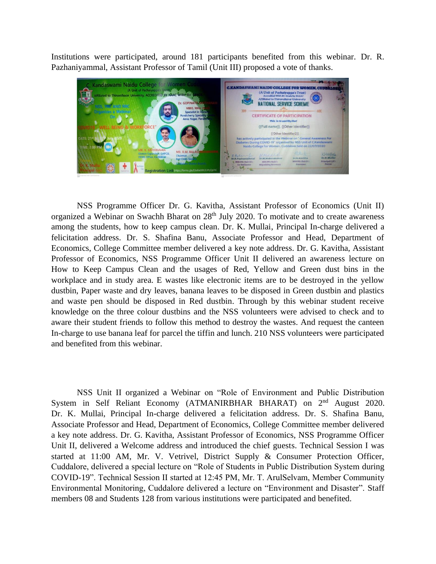Institutions were participated, around 181 participants benefited from this webinar. Dr. R. Pazhaniyammal, Assistant Professor of Tamil (Unit III) proposed a vote of thanks.



NSS Programme Officer Dr. G. Kavitha, Assistant Professor of Economics (Unit II) organized a Webinar on Swachh Bharat on 28<sup>th</sup> July 2020. To motivate and to create awareness among the students, how to keep campus clean. Dr. K. Mullai, Principal In-charge delivered a felicitation address. Dr. S. Shafina Banu, Associate Professor and Head, Department of Economics, College Committee member delivered a key note address. Dr. G. Kavitha, Assistant Professor of Economics, NSS Programme Officer Unit II delivered an awareness lecture on How to Keep Campus Clean and the usages of Red, Yellow and Green dust bins in the workplace and in study area. E wastes like electronic items are to be destroyed in the yellow dustbin, Paper waste and dry leaves, banana leaves to be disposed in Green dustbin and plastics and waste pen should be disposed in Red dustbin. Through by this webinar student receive knowledge on the three colour dustbins and the NSS volunteers were advised to check and to aware their student friends to follow this method to destroy the wastes. And request the canteen In-charge to use banana leaf for parcel the tiffin and lunch. 210 NSS volunteers were participated and benefited from this webinar.

NSS Unit II organized a Webinar on "Role of Environment and Public Distribution System in Self Reliant Economy (ATMANIRBHAR BHARAT) on 2<sup>nd</sup> August 2020. Dr. K. Mullai, Principal In-charge delivered a felicitation address. Dr. S. Shafina Banu, Associate Professor and Head, Department of Economics, College Committee member delivered a key note address. Dr. G. Kavitha, Assistant Professor of Economics, NSS Programme Officer Unit II, delivered a Welcome address and introduced the chief guests. Technical Session I was started at 11:00 AM, Mr. V. Vetrivel, District Supply & Consumer Protection Officer, Cuddalore, delivered a special lecture on "Role of Students in Public Distribution System during COVID-19". Technical Session II started at 12:45 PM, Mr. T. ArulSelvam, Member Community Environmental Monitoring, Cuddalore delivered a lecture on "Environment and Disaster". Staff members 08 and Students 128 from various institutions were participated and benefited.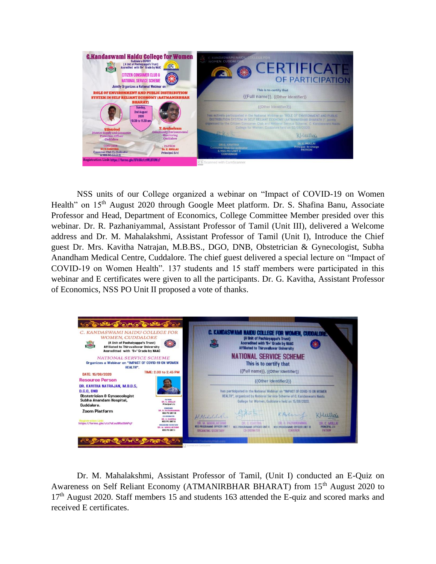

NSS units of our College organized a webinar on "Impact of COVID-19 on Women Health" on 15<sup>th</sup> August 2020 through Google Meet platform. Dr. S. Shafina Banu, Associate Professor and Head, Department of Economics, College Committee Member presided over this webinar. Dr. R. Pazhaniyammal, Assistant Professor of Tamil (Unit III), delivered a Welcome address and Dr. M. Mahalakshmi, Assistant Professor of Tamil (Unit I), Introduce the Chief guest Dr. Mrs. Kavitha Natrajan, M.B.BS., DGO, DNB, Obstetrician & Gynecologist, Subha Anandham Medical Centre, Cuddalore. The chief guest delivered a special lecture on "Impact of COVID-19 on Women Health". 137 students and 15 staff members were participated in this webinar and E certificates were given to all the participants. Dr. G. Kavitha, Assistant Professor of Economics, NSS PO Unit II proposed a vote of thanks.



Dr. M. Mahalakshmi, Assistant Professor of Tamil, (Unit I) conducted an E-Quiz on Awareness on Self Reliant Economy (ATMANIRBHAR BHARAT) from 15<sup>th</sup> August 2020 to 17<sup>th</sup> August 2020. Staff members 15 and students 163 attended the E-quiz and scored marks and received E certificates.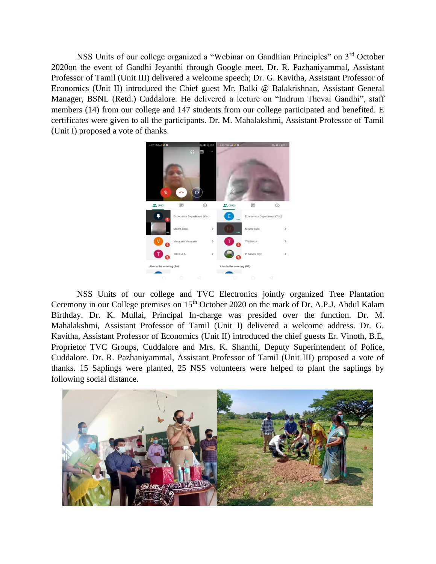NSS Units of our college organized a "Webinar on Gandhian Principles" on 3rd October 2020on the event of Gandhi Jeyanthi through Google meet. Dr. R. Pazhaniyammal, Assistant Professor of Tamil (Unit III) delivered a welcome speech; Dr. G. Kavitha, Assistant Professor of Economics (Unit II) introduced the Chief guest Mr. Balki @ Balakrishnan, Assistant General Manager, BSNL (Retd.) Cuddalore. He delivered a lecture on "Indrum Thevai Gandhi", staff members (14) from our college and 147 students from our college participated and benefited. E certificates were given to all the participants. Dr. M. Mahalakshmi, Assistant Professor of Tamil (Unit I) proposed a vote of thanks.



NSS Units of our college and TVC Electronics jointly organized Tree Plantation Ceremony in our College premises on 15<sup>th</sup> October 2020 on the mark of Dr. A.P.J. Abdul Kalam Birthday. Dr. K. Mullai, Principal In-charge was presided over the function. Dr. M. Mahalakshmi, Assistant Professor of Tamil (Unit I) delivered a welcome address. Dr. G. Kavitha, Assistant Professor of Economics (Unit II) introduced the chief guests Er. Vinoth, B.E, Proprietor TVC Groups, Cuddalore and Mrs. K. Shanthi, Deputy Superintendent of Police, Cuddalore. Dr. R. Pazhaniyammal, Assistant Professor of Tamil (Unit III) proposed a vote of thanks. 15 Saplings were planted, 25 NSS volunteers were helped to plant the saplings by following social distance.

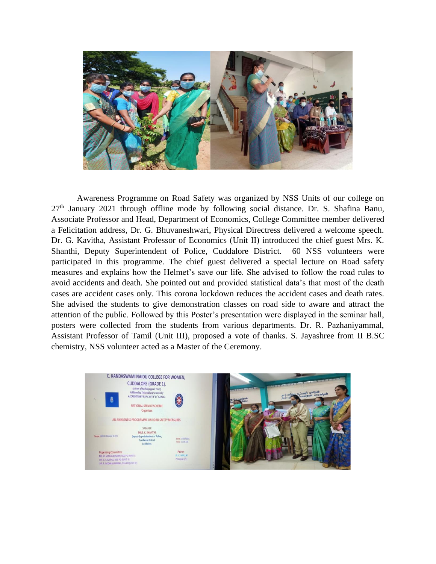

Awareness Programme on Road Safety was organized by NSS Units of our college on  $27<sup>th</sup>$  January 2021 through offline mode by following social distance. Dr. S. Shafina Banu, Associate Professor and Head, Department of Economics, College Committee member delivered a Felicitation address, Dr. G. Bhuvaneshwari, Physical Directress delivered a welcome speech. Dr. G. Kavitha, Assistant Professor of Economics (Unit II) introduced the chief guest Mrs. K. Shanthi, Deputy Superintendent of Police, Cuddalore District. 60 NSS volunteers were participated in this programme. The chief guest delivered a special lecture on Road safety measures and explains how the Helmet's save our life. She advised to follow the road rules to avoid accidents and death. She pointed out and provided statistical data's that most of the death cases are accident cases only. This corona lockdown reduces the accident cases and death rates. She advised the students to give demonstration classes on road side to aware and attract the attention of the public. Followed by this Poster's presentation were displayed in the seminar hall, posters were collected from the students from various departments. Dr. R. Pazhaniyammal, Assistant Professor of Tamil (Unit III), proposed a vote of thanks. S. Jayashree from II B.SC chemistry, NSS volunteer acted as a Master of the Ceremony.